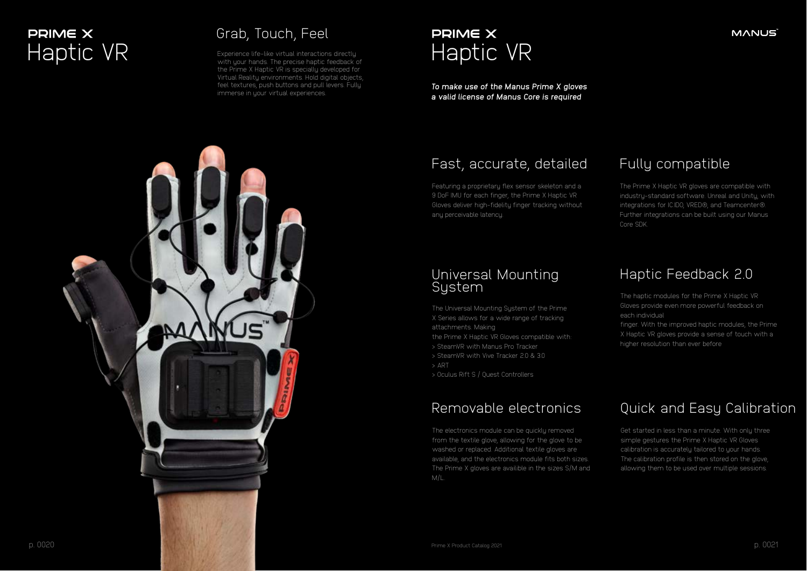Experience life-like virtual interactions directly with your hands. The precise haptic feedback of the Prime X Haptic VR is specially developed for Virtual Reality environments. Hold digital objects, feel textures, push buttons and pull levers. Fully immerse in your virtual experiences.

#### **MANUS**



*To make use of the Manus Prime X gloves a valid license of Manus Core is required*

The Universal Mounting Sustem of the Prime X Series allows for a wide range of tracking attachments. Making

# **PRIME X**

#### Grab, Touch, Feel



Featuring a proprietary flex sensor skeleton and a 9 DoF IMU for each finger, the Prime X Haptic VR Gloves deliver high-fidelity finger tracking without any perceivable latency.

the Prime X Haptic VR Gloves compatible with:

- > SteamVR with Manus Pro Tracker
- > SteamVR with Vive Tracker 2.0 & 3.0
- > ART

> Oculus Rift S / Quest Controllers

The haptic modules for the Prime X Haptic VR Gloves provide even more powerful feedback on each individual

finger. With the improved haptic modules, the Prime X Haptic VR gloves provide a sense of touch with a higher resolution than ever before

The electronics module can be quickly removed from the textile glove, allowing for the glove to be washed or replaced. Additional textile gloves are available, and the electronics module fits both sizes. The Prime X gloves are availible in the sizes S/M and M/L.

Get started in less than a minute. With only three simple gestures the Prime X Haptic VR Gloves calibration is accurately tailored to your hands. The calibration profile is then stored on the glove, allowing them to be used over multiple sessions.

The Prime X Haptic VR gloves are compatible with industry-standard software. Unreal and Unity, with integrations for IC.IDO, VRED®, and Teamcenter®. Further integrations can be built using our Manus Core SDK.

#### Fast, accurate, detailed

#### Universal Mounting System

#### Haptic Feedback 2.0

#### Removable electronics Quick and Easy Calibration

#### Fully compatible